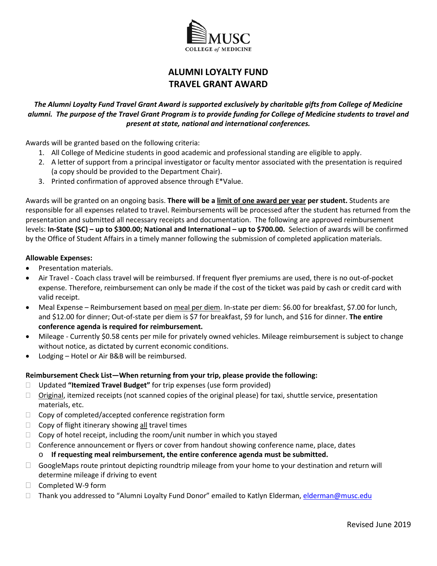

# **ALUMNI LOYALTY FUND TRAVEL GRANT AWARD**

### *The Alumni Loyalty Fund Travel Grant Award is supported exclusively by charitable gifts from College of Medicine alumni. The purpose of the Travel Grant Program is to provide funding for College of Medicine students to travel and present at state, national and international conferences.*

Awards will be granted based on the following criteria:

- 1. All College of Medicine students in good academic and professional standing are eligible to apply.
- 2. A letter of support from a principal investigator or faculty mentor associated with the presentation is required (a copy should be provided to the Department Chair).
- 3. Printed confirmation of approved absence through E\*Value.

 3. Printed confirmation of approved absence through E\*Value. Awards will be granted on an ongoing basis. **There will be a limit of one award per year per student.** Students are presentation and submitted all necessary receipts and documentation. The following are approved reimbursement  levels: **In-State (SC) – up to \$300.00; National and International – up to \$700.00.** Selection of awards will be confirmed by the Office of Student Affairs in a timely manner following the submission of completed application materials. responsible for all expenses related to travel. Reimbursements will be processed after the student has returned from the

#### **Allowable Expenses:**

- Presentation materials.
- Air Travel Coach class travel will be reimbursed. If frequent flyer premiums are used, there is no out-of-pocket expense. Therefore, reimbursement can only be made if the cost of the ticket was paid by cash or credit card with valid receipt.
- Meal Expense Reimbursement based on meal per diem. In-state per diem: \$6.00 for breakfast, \$7.00 for lunch, and \$12.00 for dinner; Out-of-state per diem is \$7 for breakfast, \$9 for lunch, and \$16 for dinner. **The entire conference agenda is required for reimbursement.**
- • Mileage Currently \$0.58 cents per mile for privately owned vehicles. Mileage reimbursement is subject to change without notice, as dictated by current economic conditions.
- Lodging Hotel or Air B&B will be reimbursed.

#### **Reimbursement Check List—When returning from your trip, please provide the following:**

- Updated **"Itemized Travel Budget"** for trip expenses (use form provided)
- $\Box$  Original, itemized receipts (not scanned copies of the original please) for taxi, shuttle service, presentation materials, etc.
- $\Box$  Copy of completed/accepted conference registration form
- $\Box$  Copy of flight itinerary showing all travel times
- $\Box$  Copy of hotel receipt, including the room/unit number in which you stayed
- $\Box$  Conference announcement or flyers or cover from handout showing conference name, place, dates
	- o **If requesting meal reimbursement, the entire conference agenda must be submitted.**
- $\Box$  GoogleMaps route printout depicting roundtrip mileage from your home to your destination and return will determine mileage if driving to event
- $\Box$  Completed W-9 form
- □ Thank you addressed to "Alumni Loyalty Fund Donor" emailed to Katlyn Elderman, <u>elderman@musc.edu</u><br>Revised June 2019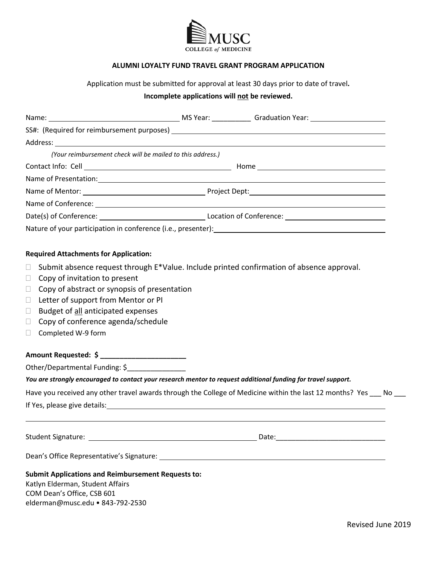

#### **ALUMNI LOYALTY FUND TRAVEL GRANT PROGRAM APPLICATION**

Application must be submitted for approval at least 30 days prior to date of travel**.** 

## **Incomplete applications will not be reviewed.**

|        | (Your reimbursement check will be mailed to this address.) |                                                                                                                 |  |  |  |  |  |  |
|--------|------------------------------------------------------------|-----------------------------------------------------------------------------------------------------------------|--|--|--|--|--|--|
|        |                                                            |                                                                                                                 |  |  |  |  |  |  |
|        |                                                            |                                                                                                                 |  |  |  |  |  |  |
|        |                                                            |                                                                                                                 |  |  |  |  |  |  |
|        |                                                            |                                                                                                                 |  |  |  |  |  |  |
|        |                                                            |                                                                                                                 |  |  |  |  |  |  |
|        |                                                            |                                                                                                                 |  |  |  |  |  |  |
|        | <b>Required Attachments for Application:</b>               |                                                                                                                 |  |  |  |  |  |  |
| $\Box$ |                                                            | Submit absence request through E*Value. Include printed confirmation of absence approval.                       |  |  |  |  |  |  |
| $\Box$ | Copy of invitation to present                              |                                                                                                                 |  |  |  |  |  |  |
| $\Box$ | Copy of abstract or synopsis of presentation               |                                                                                                                 |  |  |  |  |  |  |
| $\Box$ | Letter of support from Mentor or PI                        |                                                                                                                 |  |  |  |  |  |  |
| $\Box$ | Budget of all anticipated expenses                         |                                                                                                                 |  |  |  |  |  |  |
| $\Box$ | Copy of conference agenda/schedule                         |                                                                                                                 |  |  |  |  |  |  |
| U.     | Completed W-9 form                                         |                                                                                                                 |  |  |  |  |  |  |
|        | Amount Requested: \$ ___________________________           |                                                                                                                 |  |  |  |  |  |  |
|        | Other/Departmental Funding: \$                             |                                                                                                                 |  |  |  |  |  |  |
|        |                                                            | You are strongly encouraged to contact your research mentor to request additional funding for travel support.   |  |  |  |  |  |  |
|        |                                                            | Have you received any other travel awards through the College of Medicine within the last 12 months? Yes ___ No |  |  |  |  |  |  |
|        |                                                            | If Yes, please give details: 100 million and 200 million and 200 million and 200 million and 200 million and 20 |  |  |  |  |  |  |
|        |                                                            |                                                                                                                 |  |  |  |  |  |  |
|        |                                                            |                                                                                                                 |  |  |  |  |  |  |
|        |                                                            |                                                                                                                 |  |  |  |  |  |  |
|        | <b>Submit Applications and Reimbursement Requests to:</b>  |                                                                                                                 |  |  |  |  |  |  |
|        | Katlyn Elderman, Student Affairs                           |                                                                                                                 |  |  |  |  |  |  |

 COM Dean's Office, CSB 601 elderman@musc.edu • 843-792-2530 Katlyn Elderman, Student Affairs